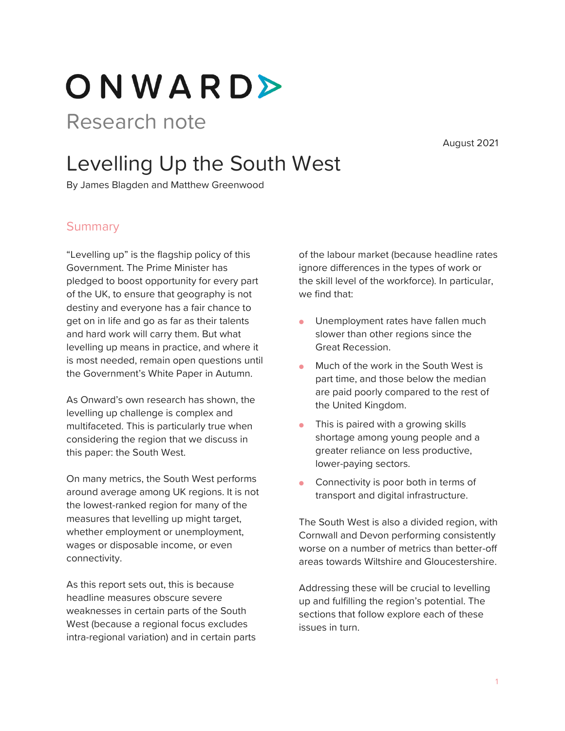ONWARD>

# Research note

August 2021

# Levelling Up the South West

By James Blagden and Matthew Greenwood

### **Summary**

"Levelling up" is the flagship policy of this Government. The Prime Minister has pledged to boost opportunity for every part of the UK, to ensure that geography is not destiny and everyone has a fair chance to get on in life and go as far as their talents and hard work will carry them. But what levelling up means in practice, and where it is most needed, remain open questions until the Government's White Paper in Autumn.

As Onward's own research has shown, the levelling up challenge is complex and multifaceted. This is particularly true when considering the region that we discuss in this paper: the South West.

On many metrics, the South West performs around average among UK regions. It is not the lowest-ranked region for many of the measures that levelling up might target, whether employment or unemployment, wages or disposable income, or even connectivity.

As this report sets out, this is because headline measures obscure severe weaknesses in certain parts of the South West (because a regional focus excludes intra-regional variation) and in certain parts of the labour market (because headline rates ignore differences in the types of work or the skill level of the workforce). In particular, we find that:

- **•** Unemployment rates have fallen much slower than other regions since the Great Recession.
- Much of the work in the South West is part time, and those below the median are paid poorly compared to the rest of the United Kingdom.
- **•** This is paired with a growing skills shortage among young people and a greater reliance on less productive, lower-paying sectors.
- Connectivity is poor both in terms of transport and digital infrastructure.

The South West is also a divided region, with Cornwall and Devon performing consistently worse on a number of metrics than better-off areas towards Wiltshire and Gloucestershire.

Addressing these will be crucial to levelling up and fulfilling the region's potential. The sections that follow explore each of these issues in turn.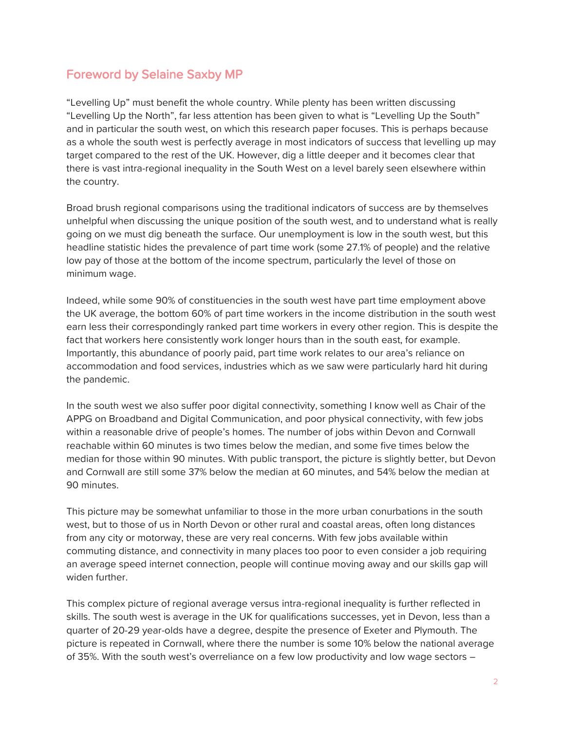## Foreword by Selaine Saxby MP

"Levelling Up" must benefit the whole country. While plenty has been written discussing "Levelling Up the North", far less attention has been given to what is "Levelling Up the South" and in particular the south west, on which this research paper focuses. This is perhaps because as a whole the south west is perfectly average in most indicators of success that levelling up may target compared to the rest of the UK. However, dig a little deeper and it becomes clear that there is vast intra-regional inequality in the South West on a level barely seen elsewhere within the country.

Broad brush regional comparisons using the traditional indicators of success are by themselves unhelpful when discussing the unique position of the south west, and to understand what is really going on we must dig beneath the surface. Our unemployment is low in the south west, but this headline statistic hides the prevalence of part time work (some 27.1% of people) and the relative low pay of those at the bottom of the income spectrum, particularly the level of those on minimum wage.

Indeed, while some 90% of constituencies in the south west have part time employment above the UK average, the bottom 60% of part time workers in the income distribution in the south west earn less their correspondingly ranked part time workers in every other region. This is despite the fact that workers here consistently work longer hours than in the south east, for example. Importantly, this abundance of poorly paid, part time work relates to our area's reliance on accommodation and food services, industries which as we saw were particularly hard hit during the pandemic.

In the south west we also suffer poor digital connectivity, something I know well as Chair of the APPG on Broadband and Digital Communication, and poor physical connectivity, with few jobs within a reasonable drive of people's homes. The number of jobs within Devon and Cornwall reachable within 60 minutes is two times below the median, and some five times below the median for those within 90 minutes. With public transport, the picture is slightly better, but Devon and Cornwall are still some 37% below the median at 60 minutes, and 54% below the median at 90 minutes.

This picture may be somewhat unfamiliar to those in the more urban conurbations in the south west, but to those of us in North Devon or other rural and coastal areas, often long distances from any city or motorway, these are very real concerns. With few jobs available within commuting distance, and connectivity in many places too poor to even consider a job requiring an average speed internet connection, people will continue moving away and our skills gap will widen further.

This complex picture of regional average versus intra-regional inequality is further reflected in skills. The south west is average in the UK for qualifications successes, yet in Devon, less than a quarter of 20-29 year-olds have a degree, despite the presence of Exeter and Plymouth. The picture is repeated in Cornwall, where there the number is some 10% below the national average of 35%. With the south west's overreliance on a few low productivity and low wage sectors –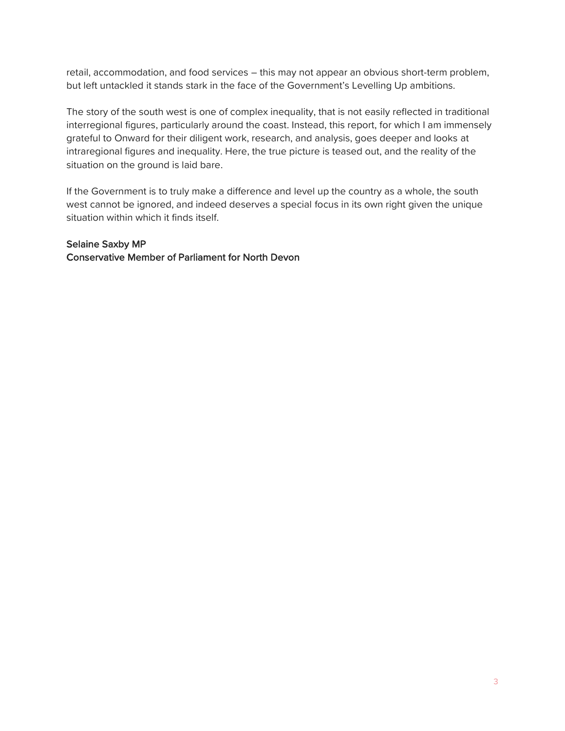retail, accommodation, and food services – this may not appear an obvious short-term problem, but left untackled it stands stark in the face of the Government's Levelling Up ambitions.

The story of the south west is one of complex inequality, that is not easily reflected in traditional interregional figures, particularly around the coast. Instead, this report, for which I am immensely grateful to Onward for their diligent work, research, and analysis, goes deeper and looks at intraregional figures and inequality. Here, the true picture is teased out, and the reality of the situation on the ground is laid bare.

If the Government is to truly make a difference and level up the country as a whole, the south west cannot be ignored, and indeed deserves a special focus in its own right given the unique situation within which it finds itself.

#### Selaine Saxby MP

Conservative Member of Parliament for North Devon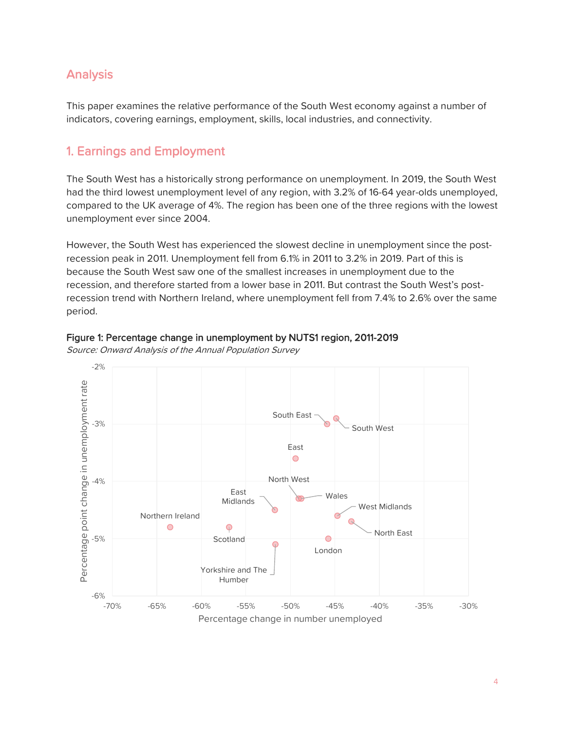## Analysis

This paper examines the relative performance of the South West economy against a number of indicators, covering earnings, employment, skills, local industries, and connectivity.

## 1. Earnings and Employment

The South West has a historically strong performance on unemployment. In 2019, the South West had the third lowest unemployment level of any region, with 3.2% of 16-64 year-olds unemployed, compared to the UK average of 4%. The region has been one of the three regions with the lowest unemployment ever since 2004.

However, the South West has experienced the slowest decline in unemployment since the postrecession peak in 2011. Unemployment fell from 6.1% in 2011 to 3.2% in 2019. Part of this is because the South West saw one of the smallest increases in unemployment due to the recession, and therefore started from a lower base in 2011. But contrast the South West's postrecession trend with Northern Ireland, where unemployment fell from 7.4% to 2.6% over the same period.



#### Source: Onward Analysis of the Annual Population Survey

Figure 1: Percentage change in unemployment by NUTS1 region, 2011-2019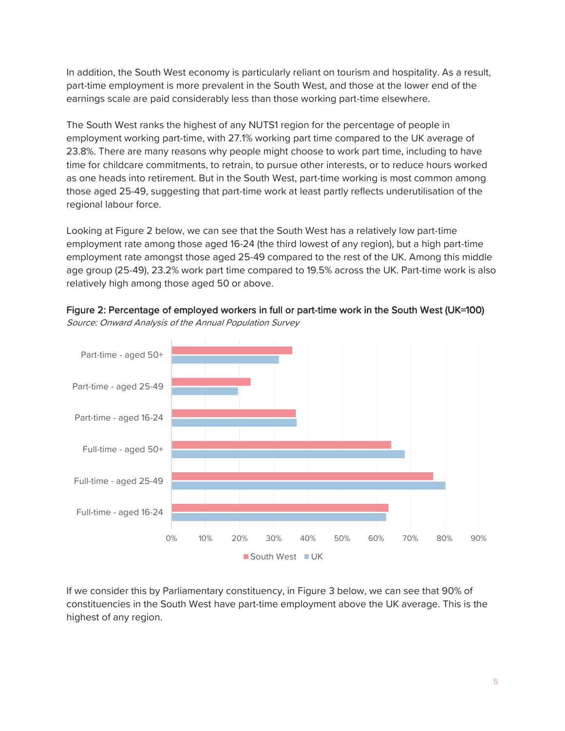In addition, the South West economy is particularly reliant on tourism and hospitality. As a result, part-time employment is more prevalent in the South West, and those at the lower end of the earnings scale are paid considerably less than those working part-time elsewhere.

The South West ranks the highest of any NUTS1 region for the percentage of people in employment working part-time, with 27.1% working part time compared to the UK average of 23.8%. There are many reasons why people might choose to work part time, including to have time for childcare commitments, to retrain, to pursue other interests, or to reduce hours worked as one heads into retirement. But in the South West, part-time working is most common among those aged 25-49, suggesting that part-time work at least partly reflects underutilisation of the regional labour force.

Looking at Figure 2 below, we can see that the South West has a relatively low part-time employment rate among those aged 16-24 (the third lowest of any region), but a high part-time employment rate amongst those aged 25-49 compared to the rest of the UK. Among this middle age group (25-49), 23.2% work part time compared to 19.5% across the UK. Part-time work is also relatively high among those aged 50 or above.



Figure 2: Percentage of employed workers in full or part-time work in the South West (UK=100) Source: Onward Analysis of the Annual Population Survey

If we consider this by Parliamentary constituency, in Figure 3 below, we can see that 90% of constituencies in the South West have part-time employment above the UK average. This is the highest of any region.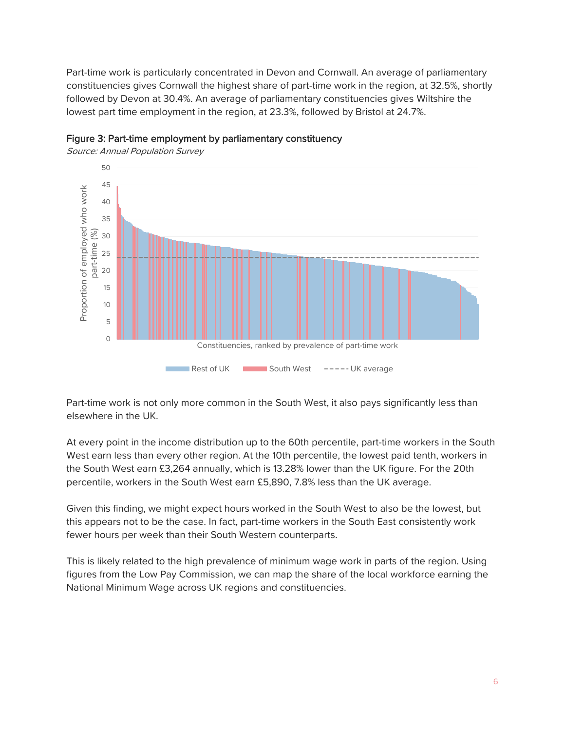Part-time work is particularly concentrated in Devon and Cornwall. An average of parliamentary constituencies gives Cornwall the highest share of part-time work in the region, at 32.5%, shortly followed by Devon at 30.4%. An average of parliamentary constituencies gives Wiltshire the lowest part time employment in the region, at 23.3%, followed by Bristol at 24.7%.





Source: Annual Population Survey

Part-time work is not only more common in the South West, it also pays significantly less than elsewhere in the UK.

At every point in the income distribution up to the 60th percentile, part-time workers in the South West earn less than every other region. At the 10th percentile, the lowest paid tenth, workers in the South West earn £3,264 annually, which is 13.28% lower than the UK figure. For the 20th percentile, workers in the South West earn £5,890, 7.8% less than the UK average.

Given this finding, we might expect hours worked in the South West to also be the lowest, but this appears not to be the case. In fact, part-time workers in the South East consistently work fewer hours per week than their South Western counterparts.

This is likely related to the high prevalence of minimum wage work in parts of the region. Using figures from the Low Pay Commission, we can map the share of the local workforce earning the National Minimum Wage across UK regions and constituencies.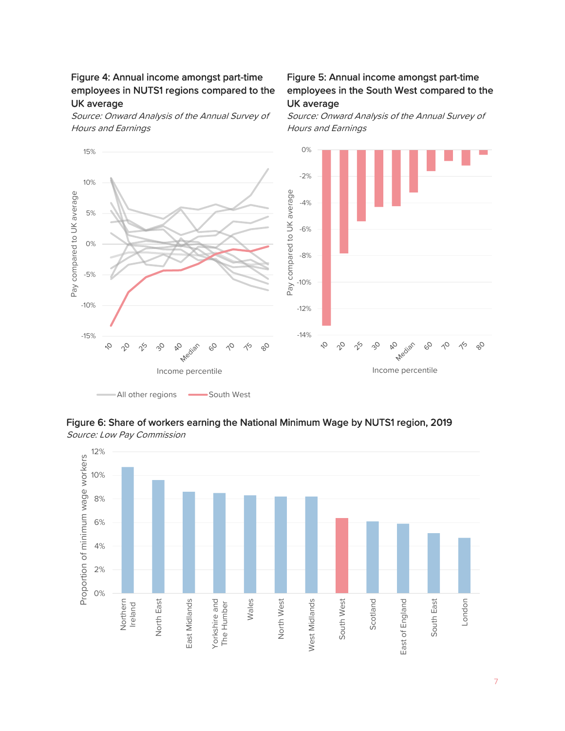#### Figure 4: Annual income amongst part-time employees in NUTS1 regions compared to the UK average

Source: Onward Analysis of the Annual Survey of Hours and Earnings

#### Figure 5: Annual income amongst part-time employees in the South West compared to the UK average

Source: Onward Analysis of the Annual Survey of Hours and Earnings





12% Proportion of minimum wage workers Proportion of minimum wage workers10% 8% 6% 4% 2% 0% East Midlands Wales North West West Midlands London North East Yorkshire and South West Scotland East of England South East Northern Ireland East Midlands North West West Midlands South West East of England The Humber

Source: Low Pay Commission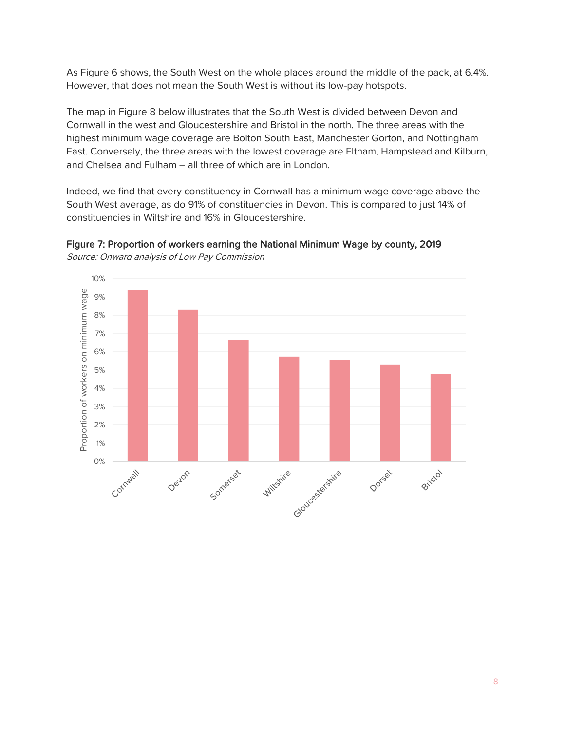As Figure 6 shows, the South West on the whole places around the middle of the pack, at 6.4%. However, that does not mean the South West is without its low-pay hotspots.

The map in Figure 8 below illustrates that the South West is divided between Devon and Cornwall in the west and Gloucestershire and Bristol in the north. The three areas with the highest minimum wage coverage are Bolton South East, Manchester Gorton, and Nottingham East. Conversely, the three areas with the lowest coverage are Eltham, Hampstead and Kilburn, and Chelsea and Fulham – all three of which are in London.

Indeed, we find that every constituency in Cornwall has a minimum wage coverage above the South West average, as do 91% of constituencies in Devon. This is compared to just 14% of constituencies in Wiltshire and 16% in Gloucestershire.



Figure 7: Proportion of workers earning the National Minimum Wage by county, 2019 Source: Onward analysis of Low Pay Commission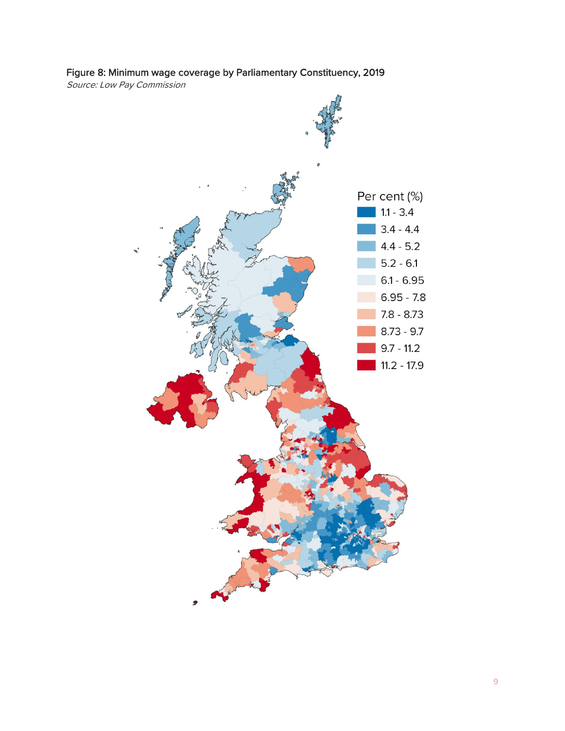### Figure 8: Minimum wage coverage by Parliamentary Constituency, 2019

Source: Low Pay Commission

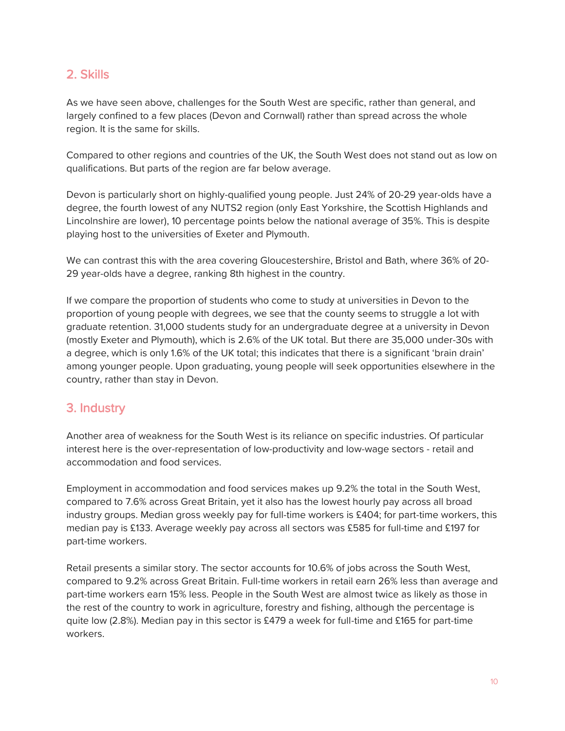## 2. Skills

As we have seen above, challenges for the South West are specific, rather than general, and largely confined to a few places (Devon and Cornwall) rather than spread across the whole region. It is the same for skills.

Compared to other regions and countries of the UK, the South West does not stand out as low on qualifications. But parts of the region are far below average.

Devon is particularly short on highly-qualified young people. Just 24% of 20-29 year-olds have a degree, the fourth lowest of any NUTS2 region (only East Yorkshire, the Scottish Highlands and Lincolnshire are lower), 10 percentage points below the national average of 35%. This is despite playing host to the universities of Exeter and Plymouth.

We can contrast this with the area covering Gloucestershire, Bristol and Bath, where 36% of 20- 29 year-olds have a degree, ranking 8th highest in the country.

If we compare the proportion of students who come to study at universities in Devon to the proportion of young people with degrees, we see that the county seems to struggle a lot with graduate retention. 31,000 students study for an undergraduate degree at a university in Devon (mostly Exeter and Plymouth), which is 2.6% of the UK total. But there are 35,000 under-30s with a degree, which is only 1.6% of the UK total; this indicates that there is a significant 'brain drain' among younger people. Upon graduating, young people will seek opportunities elsewhere in the country, rather than stay in Devon.

## 3. Industry

Another area of weakness for the South West is its reliance on specific industries. Of particular interest here is the over-representation of low-productivity and low-wage sectors - retail and accommodation and food services.

Employment in accommodation and food services makes up 9.2% the total in the South West, compared to 7.6% across Great Britain, yet it also has the lowest hourly pay across all broad industry groups. Median gross weekly pay for full-time workers is £404; for part-time workers, this median pay is £133. Average weekly pay across all sectors was £585 for full-time and £197 for part-time workers.

Retail presents a similar story. The sector accounts for 10.6% of jobs across the South West, compared to 9.2% across Great Britain. Full-time workers in retail earn 26% less than average and part-time workers earn 15% less. People in the South West are almost twice as likely as those in the rest of the country to work in agriculture, forestry and fishing, although the percentage is quite low (2.8%). Median pay in this sector is £479 a week for full-time and £165 for part-time workers.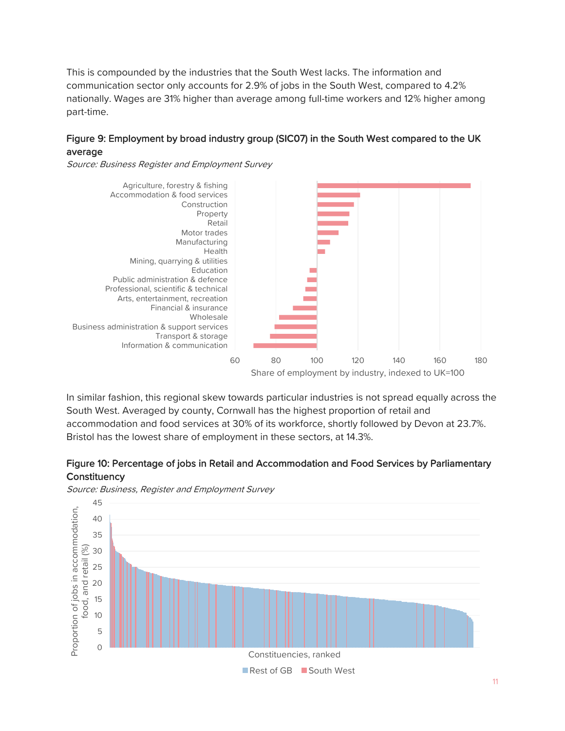This is compounded by the industries that the South West lacks. The information and communication sector only accounts for 2.9% of jobs in the South West, compared to 4.2% nationally. Wages are 31% higher than average among full-time workers and 12% higher among part-time.

#### Figure 9: Employment by broad industry group (SIC07) in the South West compared to the UK average

Source: Business Register and Employment Survey



In similar fashion, this regional skew towards particular industries is not spread equally across the South West. Averaged by county, Cornwall has the highest proportion of retail and accommodation and food services at 30% of its workforce, shortly followed by Devon at 23.7%. Bristol has the lowest share of employment in these sectors, at 14.3%.





Source: Business, Register and Employment Survey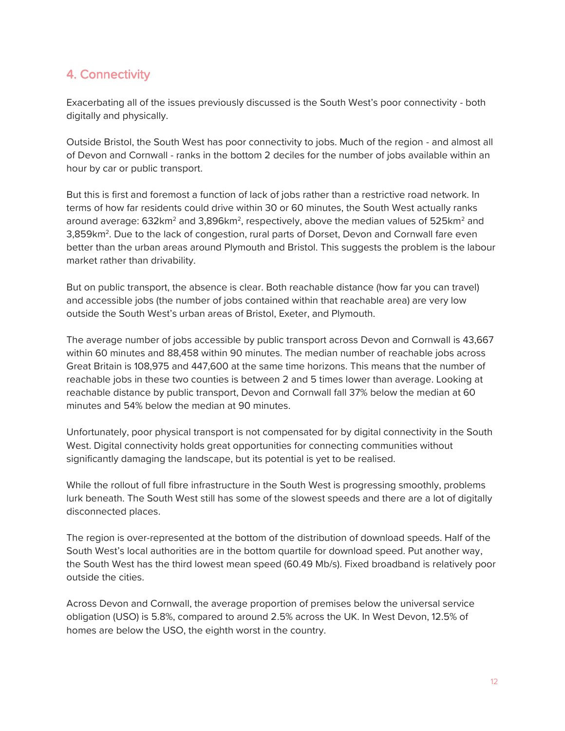# 4. Connectivity

Exacerbating all of the issues previously discussed is the South West's poor connectivity - both digitally and physically.

Outside Bristol, the South West has poor connectivity to jobs. Much of the region - and almost all of Devon and Cornwall - ranks in the bottom 2 deciles for the number of jobs available within an hour by car or public transport.

But this is first and foremost a function of lack of jobs rather than a restrictive road network. In terms of how far residents could drive within 30 or 60 minutes, the South West actually ranks around average: 632km $^2$  and 3,896km $^2$ , respectively, above the median values of 525km $^2$  and 3,859km<sup>2</sup>. Due to the lack of congestion, rural parts of Dorset, Devon and Cornwall fare even better than the urban areas around Plymouth and Bristol. This suggests the problem is the labour market rather than drivability.

But on public transport, the absence is clear. Both reachable distance (how far you can travel) and accessible jobs (the number of jobs contained within that reachable area) are very low outside the South West's urban areas of Bristol, Exeter, and Plymouth.

The average number of jobs accessible by public transport across Devon and Cornwall is 43,667 within 60 minutes and 88,458 within 90 minutes. The median number of reachable jobs across Great Britain is 108,975 and 447,600 at the same time horizons. This means that the number of reachable jobs in these two counties is between 2 and 5 times lower than average. Looking at reachable distance by public transport, Devon and Cornwall fall 37% below the median at 60 minutes and 54% below the median at 90 minutes.

Unfortunately, poor physical transport is not compensated for by digital connectivity in the South West. Digital connectivity holds great opportunities for connecting communities without significantly damaging the landscape, but its potential is yet to be realised.

While the rollout of full fibre infrastructure in the South West is progressing smoothly, problems lurk beneath. The South West still has some of the slowest speeds and there are a lot of digitally disconnected places.

The region is over-represented at the bottom of the distribution of download speeds. Half of the South West's local authorities are in the bottom quartile for download speed. Put another way, the South West has the third lowest mean speed (60.49 Mb/s). Fixed broadband is relatively poor outside the cities.

Across Devon and Cornwall, the average proportion of premises below the universal service obligation (USO) is 5.8%, compared to around 2.5% across the UK. In West Devon, 12.5% of homes are below the USO, the eighth worst in the country.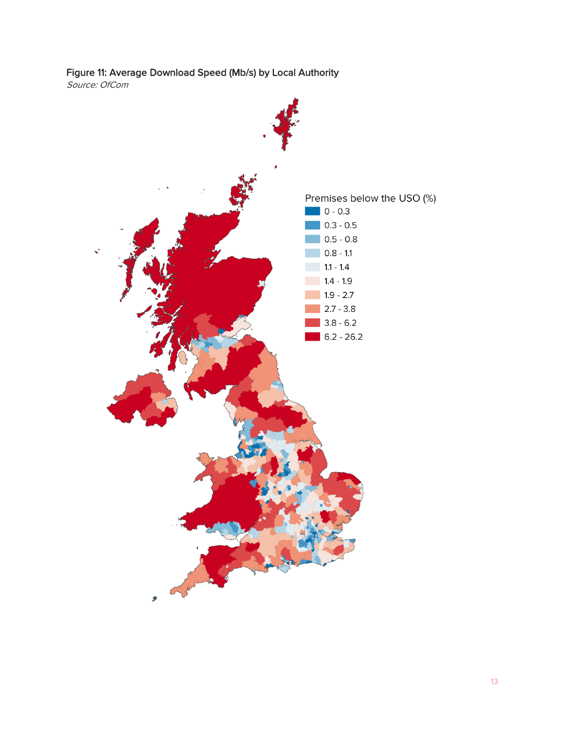

Source: OfCom